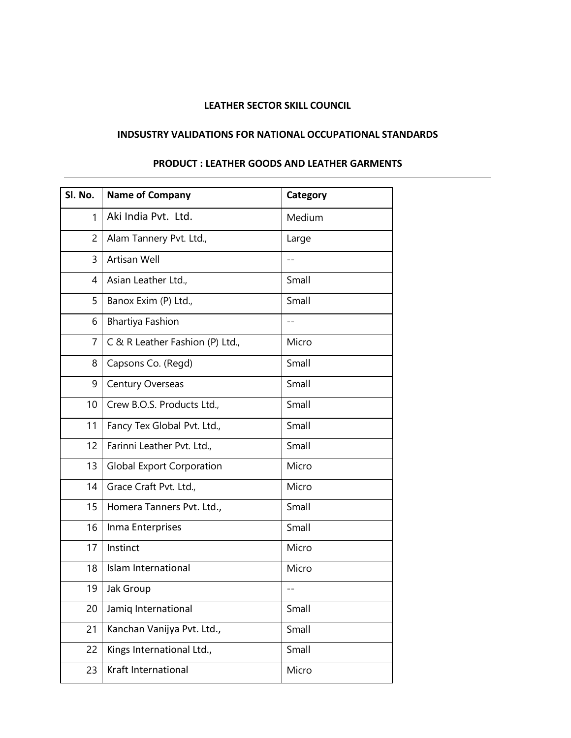## **LEATHER SECTOR SKILL COUNCIL**

## **INDSUSTRY VALIDATIONS FOR NATIONAL OCCUPATIONAL STANDARDS**

## **PRODUCT : LEATHER GOODS AND LEATHER GARMENTS**

| Sl. No.        | <b>Name of Company</b>           | Category |
|----------------|----------------------------------|----------|
| $\mathbf{1}$   | Aki India Pvt. Ltd.              | Medium   |
| $\overline{2}$ | Alam Tannery Pvt. Ltd.,          | Large    |
| 3              | Artisan Well                     | $- -$    |
| 4              | Asian Leather Ltd.,              | Small    |
| 5              | Banox Exim (P) Ltd.,             | Small    |
| 6              | <b>Bhartiya Fashion</b>          | $ -$     |
| $\overline{7}$ | C & R Leather Fashion (P) Ltd.,  | Micro    |
| 8              | Capsons Co. (Regd)               | Small    |
| 9              | <b>Century Overseas</b>          | Small    |
| 10             | Crew B.O.S. Products Ltd.,       | Small    |
| 11             | Fancy Tex Global Pvt. Ltd.,      | Small    |
| 12             | Farinni Leather Pvt. Ltd.,       | Small    |
| 13             | <b>Global Export Corporation</b> | Micro    |
| 14             | Grace Craft Pvt. Ltd.,           | Micro    |
| 15             | Homera Tanners Pvt. Ltd.,        | Small    |
| 16             | Inma Enterprises                 | Small    |
| 17             | Instinct                         | Micro    |
| 18             | <b>Islam International</b>       | Micro    |
| 19             | Jak Group                        | $-$      |
| 20             | Jamiq International              | Small    |
| 21             | Kanchan Vanijya Pvt. Ltd.,       | Small    |
| 22             | Kings International Ltd.,        | Small    |
| 23             | Kraft International              | Micro    |